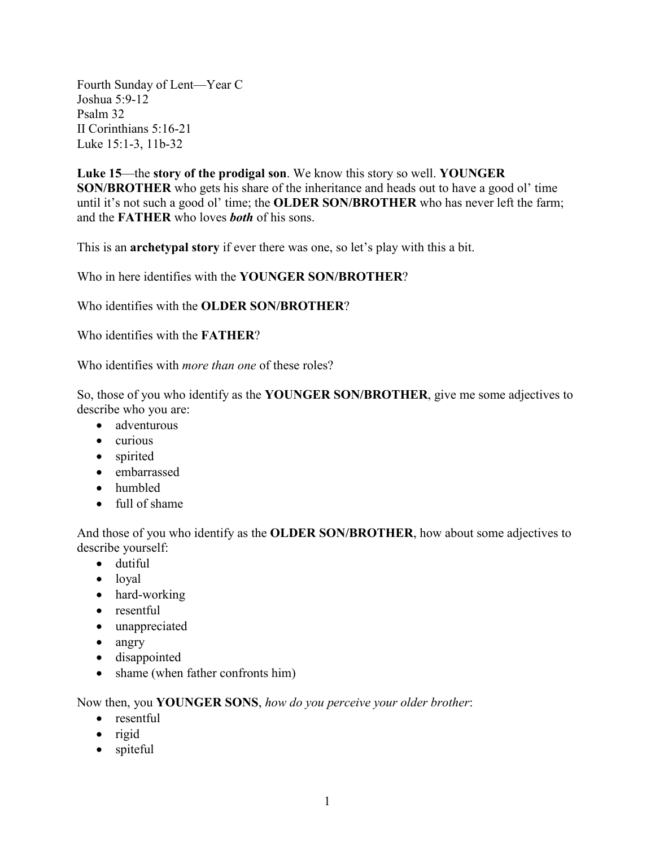Fourth Sunday of Lent—Year C Joshua 5:9-12 Psalm 32 II Corinthians 5:16-21 Luke 15:1-3, 11b-32

**Luke 15**—the **story of the prodigal son**. We know this story so well. **YOUNGER SON/BROTHER** who gets his share of the inheritance and heads out to have a good ol' time until it's not such a good ol' time; the **OLDER SON/BROTHER** who has never left the farm; and the **FATHER** who loves *both* of his sons.

This is an **archetypal story** if ever there was one, so let's play with this a bit.

Who in here identifies with the **YOUNGER SON/BROTHER**?

Who identifies with the **OLDER SON/BROTHER**?

Who identifies with the **FATHER**?

Who identifies with *more than one* of these roles?

So, those of you who identify as the **YOUNGER SON/BROTHER**, give me some adjectives to describe who you are:

- adventurous
- curious
- spirited
- embarrassed
- humbled
- full of shame

And those of you who identify as the **OLDER SON/BROTHER**, how about some adjectives to describe yourself:

- dutiful
- loyal
- hard-working
- resentful
- unappreciated
- angry
- disappointed
- shame (when father confronts him)

Now then, you **YOUNGER SONS**, *how do you perceive your older brother*:

- resentful
- rigid
- spiteful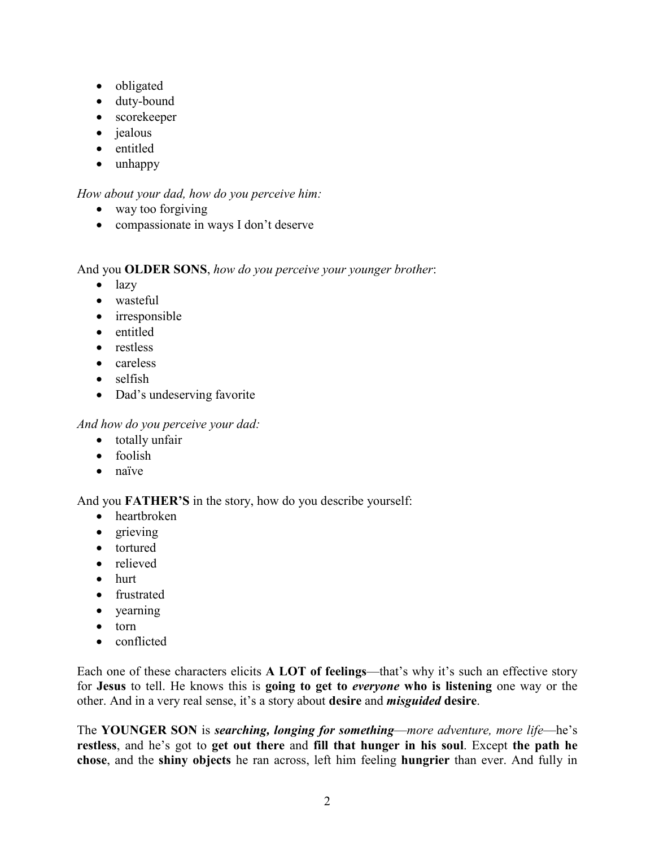- obligated
- duty-bound
- scorekeeper
- *jealous*
- entitled
- unhappy

## *How about your dad, how do you perceive him:*

- way too forgiving
- compassionate in ways I don't deserve

## And you **OLDER SONS**, *how do you perceive your younger brother*:

- lazy
- wasteful
- irresponsible
- entitled
- restless
- careless
- selfish
- Dad's undeserving favorite

*And how do you perceive your dad:*

- totally unfair
- foolish
- naïve

## And you **FATHER'S** in the story, how do you describe yourself:

- heartbroken
- grieving
- tortured
- relieved
- hurt
- frustrated
- yearning
- torn
- conflicted

Each one of these characters elicits **A LOT of feelings**—that's why it's such an effective story for **Jesus** to tell. He knows this is **going to get to** *everyone* **who is listening** one way or the other. And in a very real sense, it's a story about **desire** and *misguided* **desire**.

The **YOUNGER SON** is *searching, longing for something*—*more adventure, more life*—he's **restless**, and he's got to **get out there** and **fill that hunger in his soul**. Except **the path he chose**, and the **shiny objects** he ran across, left him feeling **hungrier** than ever. And fully in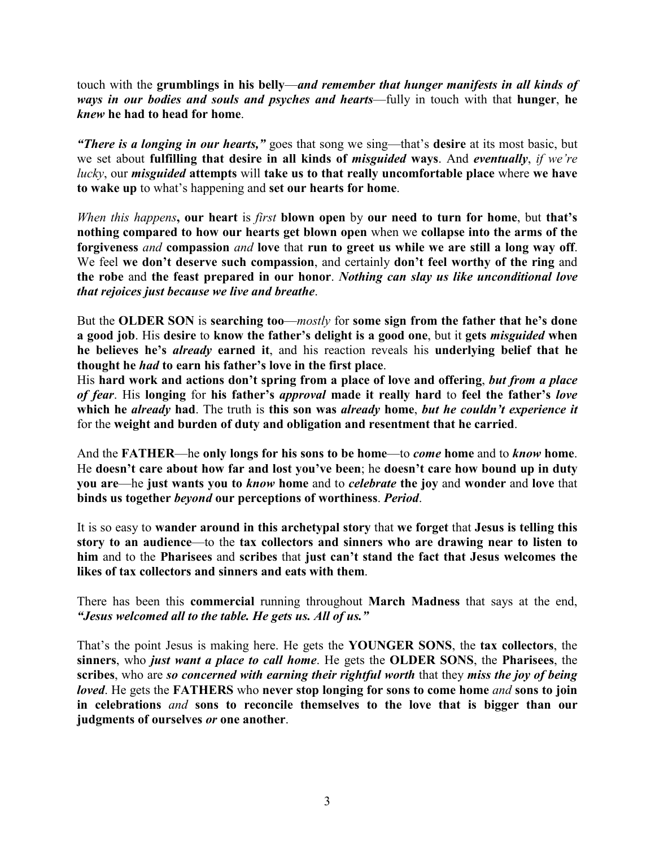touch with the **grumblings in his belly**—*and remember that hunger manifests in all kinds of ways in our bodies and souls and psyches and hearts*—fully in touch with that **hunger**, **he**  *knew* **he had to head for home**.

*"There is a longing in our hearts,"* goes that song we sing—that's **desire** at its most basic, but we set about **fulfilling that desire in all kinds of** *misguided* **ways**. And *eventually*, *if we're lucky*, our *misguided* **attempts** will **take us to that really uncomfortable place** where **we have to wake up** to what's happening and **set our hearts for home**.

*When this happens***, our heart** is *first* **blown open** by **our need to turn for home**, but **that's nothing compared to how our hearts get blown open** when we **collapse into the arms of the forgiveness** *and* **compassion** *and* **love** that **run to greet us while we are still a long way off**. We feel **we don't deserve such compassion**, and certainly **don't feel worthy of the ring** and **the robe** and **the feast prepared in our honor**. *Nothing can slay us like unconditional love that rejoices just because we live and breathe*.

But the **OLDER SON** is **searching too**—*mostly* for **some sign from the father that he's done a good job**. His **desire** to **know the father's delight is a good one**, but it **gets** *misguided* **when he believes he's** *already* **earned it**, and his reaction reveals his **underlying belief that he thought he** *had* **to earn his father's love in the first place**.

His **hard work and actions don't spring from a place of love and offering**, *but from a place of fear*. His **longing** for **his father's** *approval* **made it really hard** to **feel the father's** *love* **which he** *already* **had**. The truth is **this son was** *already* **home**, *but he couldn't experience it*  for the **weight and burden of duty and obligation and resentment that he carried**.

And the **FATHER**—he **only longs for his sons to be home**—to *come* **home** and to *know* **home**. He **doesn't care about how far and lost you've been**; he **doesn't care how bound up in duty you are**—he **just wants you to** *know* **home** and to *celebrate* **the joy** and **wonder** and **love** that **binds us together** *beyond* **our perceptions of worthiness**. *Period*.

It is so easy to **wander around in this archetypal story** that **we forget** that **Jesus is telling this story to an audience**—to the **tax collectors and sinners who are drawing near to listen to him** and to the **Pharisees** and **scribes** that **just can't stand the fact that Jesus welcomes the likes of tax collectors and sinners and eats with them**.

There has been this **commercial** running throughout **March Madness** that says at the end, *"Jesus welcomed all to the table. He gets us. All of us."*

That's the point Jesus is making here. He gets the **YOUNGER SONS**, the **tax collectors**, the **sinners**, who *just want a place to call home*. He gets the **OLDER SONS**, the **Pharisees**, the **scribes**, who are *so concerned with earning their rightful worth* that they *miss the joy of being loved*. He gets the **FATHERS** who **never stop longing for sons to come home** *and* **sons to join in celebrations** *and* **sons to reconcile themselves to the love that is bigger than our judgments of ourselves** *or* **one another**.